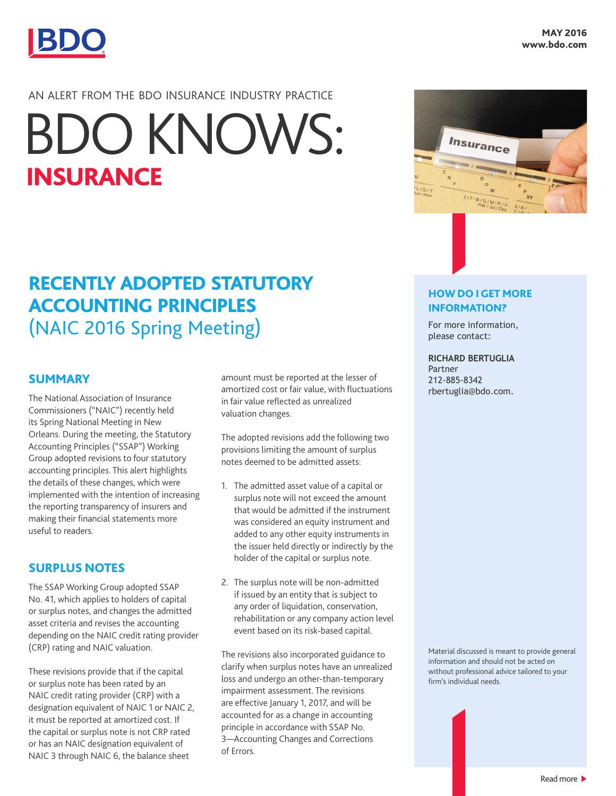

## AN ALERT FROM THE BDO INSURANCE INDUSTRY PRACTICE

# INSURANCE BDO KNOWS:

# RECENTLY ADOPTED STATUTORY ACCOUNTING PRINCIPLES (NAIC 2016 Spring Meeting)

#### SUMMARY

The National Association of Insurance Commissioners ("NAIC") recently held its Spring National Meeting in New Orleans. During the meeting, the Statutory Accounting Principles ("SSAP") Working Group adopted revisions to four statutory accounting principles. This alert highlights the details of these changes, which were implemented with the intention of increasing the reporting transparency of insurers and making their financial statements more useful to readers.

#### SURPLUS NOTES

The SSAP Working Group adopted SSAP No. 41, which applies to holders of capital or surplus notes, and changes the admitted asset criteria and revises the accounting depending on the NAIC credit rating provider (CRP) rating and NAIC valuation.

These revisions provide that if the capital or surplus note has been rated by an NAIC credit rating provider (CRP) with a designation equivalent of NAIC 1 or NAIC 2, it must be reported at amortized cost. If the capital or surplus note is not CRP rated or has an NAIC designation equivalent of NAIC 3 through NAIC 6, the balance sheet

amount must be reported at the lesser of amortized cost or fair value, with fluctuations in fair value reflected as unrealized valuation changes.

The adopted revisions add the following two provisions limiting the amount of surplus notes deemed to be admitted assets:

- 1. The admitted asset value of a capital or surplus note will not exceed the amount that would be admitted if the instrument was considered an equity instrument and added to any other equity instruments in the issuer held directly or indirectly by the holder of the capital or surplus note.
- 2. The surplus note will be non-admitted if issued by an entity that is subject to any order of liquidation, conservation, rehabilitation or any company action level event based on its risk-based capital.

The revisions also incorporated guidance to clarify when surplus notes have an unrealized loss and undergo an other-than-temporary impairment assessment. The revisions are effective January 1, 2017, and will be accounted for as a change in accounting principle in accordance with SSAP No. 3—Accounting Changes and Corrections of Errors.



#### HOW DO I GET MORE INFORMATION?

For more information, please contact:

#### **RICHARD BERTUGLIA**

Partner 212-885-8342 rbertuglia@bdo.com.

Material discussed is meant to provide general information and should not be acted on without professional advice tailored to your firm's individual needs.